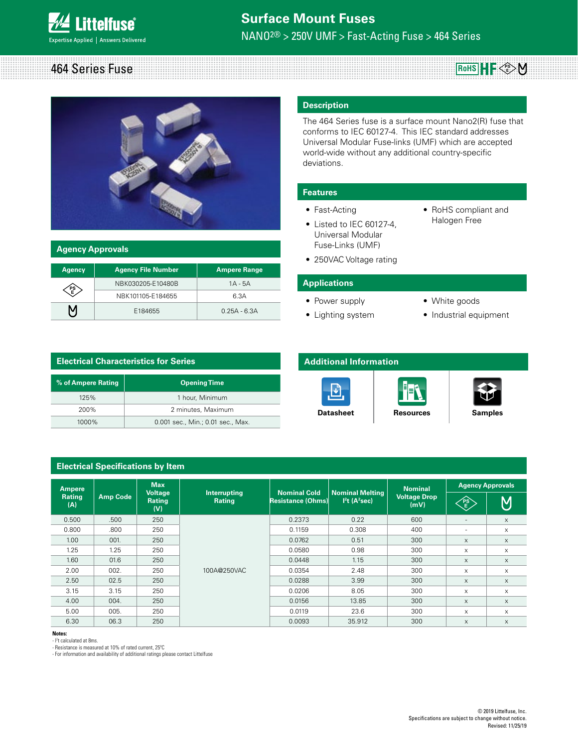

# 464 Series Fuse  $R$ <sub>o</sub>HS  $\parallel$  **H**  $\parallel$   $\leq$   $\frac{R}{E}$



| <b>Agency Approvals</b> |                           |                     |  |  |
|-------------------------|---------------------------|---------------------|--|--|
| <b>Agency</b>           | <b>Agency File Number</b> | <b>Ampere Range</b> |  |  |
|                         | NBK030205-E10480B         | $1A - 5A$           |  |  |
| PS<br>E                 | NBK101105-E184655         | 6.3A                |  |  |
| Μ                       | E184655                   | $0.25A - 6.3A$      |  |  |

#### **Description**

The 464 Series fuse is a surface mount Nano2(R) fuse that conforms to IEC 60127-4. This IEC standard addresses Universal Modular Fuse-links (UMF) which are accepted world-wide without any additional country-specific deviations.

#### **Features**

- Fast-Acting
- Listed to IEC 60127-4, Universal Modular Fuse-Links (UMF)
- RoHS compliant and Halogen Free
- 250VAC Voltage rating

#### **Applications**

- Power supply
- Lighting system
- White goods
- Industrial equipment

# **Electrical Characteristics for Series 18.19 % of Ampere Rating Department Control of Ampere Rating**

| 125%     | 1 hour, Minimum                   |
|----------|-----------------------------------|
| 200%     | 2 minutes, Maximum                |
| $1000\%$ | 0.001 sec., Min.; 0.01 sec., Max. |

# **Additional Information**







| <b>Electrical Specifications by Item</b> |                                                                                                      |                              |                             |                     |                         |                |                          |             |
|------------------------------------------|------------------------------------------------------------------------------------------------------|------------------------------|-----------------------------|---------------------|-------------------------|----------------|--------------------------|-------------|
| <b>Ampere</b>                            |                                                                                                      | <b>Max</b><br><b>Voltage</b> | Interrupting                | <b>Nominal Cold</b> | <b>Nominal Melting</b>  | <b>Nominal</b> | <b>Agency Approvals</b>  |             |
| <b>Rating</b><br>(A)                     | <b>Amp Code</b><br>$I2t$ (A <sup>2</sup> sec)<br>Resistance (Ohms)<br><b>Rating</b><br>Rating<br>(V) |                              | <b>Voltage Drop</b><br>(mV) | RE                  | $\overline{\mathsf{M}}$ |                |                          |             |
| 0.500                                    | .500                                                                                                 | 250                          | 100A@250VAC                 | 0.2373              | 0.22                    | 600            | $\overline{\phantom{a}}$ | $\times$    |
| 0.800                                    | .800                                                                                                 | 250                          |                             | 0.1159              | 0.308                   | 400            | ٠                        | X           |
| 1.00                                     | 001.                                                                                                 | 250                          |                             | 0.0762              | 0.51                    | 300            | X                        | X           |
| 1.25                                     | 1.25                                                                                                 | 250                          |                             | 0.0580              | 0.98                    | 300            | X                        | X           |
| 1.60                                     | 01.6                                                                                                 | 250                          |                             | 0.0448              | 1.15                    | 300            | $\times$                 | X           |
| 2.00                                     | 002.                                                                                                 | 250                          |                             | 0.0354              | 2.48                    | 300            | X                        | X           |
| 2.50                                     | 02.5                                                                                                 | 250                          |                             | 0.0288              | 3.99                    | 300            | $\times$                 | $\times$    |
| 3.15                                     | 3.15                                                                                                 | 250                          |                             | 0.0206              | 8.05                    | 300            | X                        | X           |
| 4.00                                     | 004.                                                                                                 | 250                          |                             | 0.0156              | 13.85                   | 300            | X                        | $\mathsf X$ |
| 5.00                                     | 005.                                                                                                 | 250                          |                             | 0.0119              | 23.6                    | 300            | X                        | X           |
| 6.30                                     | 06.3                                                                                                 | 250                          |                             | 0.0093              | 35.912                  | 300            | X                        | $\times$    |

#### **Notes:**

- l2 t calculated at 8ms.

- Resistance is measured at 10% of rated current, 25ºC

- For information and availability of additional ratings please contact Littelfuse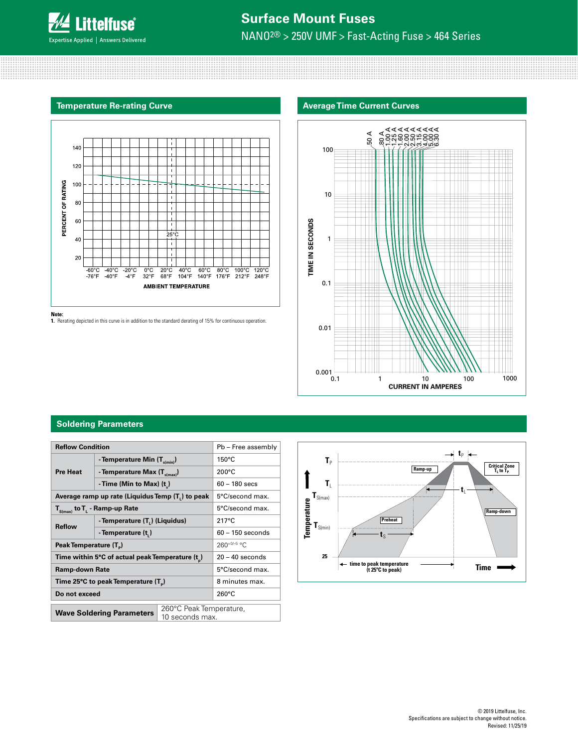

## **Temperature Re-rating Curve**



**Note:**

**1.** Rerating depicted in this curve is in addition to the standard derating of 15% for continuous operation.



#### **Soldering Parameters**

| <b>Reflow Condition</b>                                                             |                                          |                                            | Pb - Free assembly |  |
|-------------------------------------------------------------------------------------|------------------------------------------|--------------------------------------------|--------------------|--|
| <b>Pre Heat</b>                                                                     | - Temperature Min (T <sub>s(min</sub> )  |                                            | $150^{\circ}$ C    |  |
|                                                                                     | - Temperature Max (T <sub>s(max)</sub> ) |                                            | $200^{\circ}$ C    |  |
|                                                                                     | - Time (Min to Max) $(t_*)$              |                                            | $60 - 180$ secs    |  |
| Average ramp up rate (Liquidus Temp (T,) to peak                                    |                                          | 5°C/second max.                            |                    |  |
| $\mathsf{T}_{\mathsf{S}(\mathsf{max})}$ to $\mathsf{T}_{\mathsf{L}}$ - Ramp-up Rate |                                          |                                            | 5°C/second max.    |  |
| <b>Reflow</b>                                                                       | - Temperature (T.) (Liquidus)            |                                            | $217^{\circ}$ C    |  |
|                                                                                     | - Temperature (t)                        |                                            | $60 - 150$ seconds |  |
| Peak Temperature (T <sub>n</sub> )                                                  |                                          |                                            | $260+0/-5$ °C      |  |
| Time within 5°C of actual peak Temperature (t)                                      |                                          | $20 - 40$ seconds                          |                    |  |
| Ramp-down Rate                                                                      |                                          |                                            | 5°C/second max.    |  |
| Time 25°C to peak Temperature (T <sub>a</sub> )                                     |                                          | 8 minutes max.                             |                    |  |
| Do not exceed                                                                       |                                          | $260^{\circ}$ C                            |                    |  |
| <b>Wave Soldering Parameters</b>                                                    |                                          | 260°C Peak Temperature,<br>10 seconds max. |                    |  |